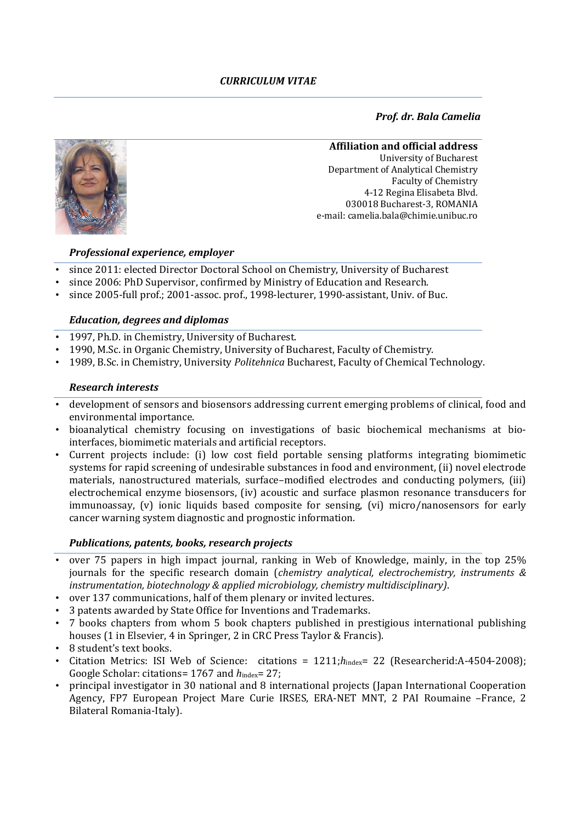# *Prof. dr. Bala Camelia*



#### **Affiliation and official address**

University of Bucharest Department of Analytical Chemistry Faculty of Chemistry 4-12 Regina Elisabeta Blvd. 030018 Bucharest-3, ROMANIA e-mail: camelia.bala@chimie.unibuc.ro

## *Professional experience, employer*

- since 2011: elected Director Doctoral School on Chemistry, University of Bucharest
- since 2006: PhD Supervisor, confirmed by Ministry of Education and Research.
- since 2005-full prof.; 2001-assoc. prof., 1998-lecturer, 1990-assistant, Univ. of Buc.

### *Education, degrees and diplomas*

- 1997, Ph.D. in Chemistry, University of Bucharest.
- 1990, M.Sc. in Organic Chemistry, University of Bucharest, Faculty of Chemistry.
- 1989, B.Sc. in Chemistry, University *Politehnica* Bucharest, Faculty of Chemical Technology.

### *Research interests*

- development of sensors and biosensors addressing current emerging problems of clinical, food and environmental importance.
- bioanalytical chemistry focusing on investigations of basic biochemical mechanisms at biointerfaces, biomimetic materials and artificial receptors.
- Current projects include: (i) low cost field portable sensing platforms integrating biomimetic systems for rapid screening of undesirable substances in food and environment, (ii) novel electrode materials, nanostructured materials, surface–modified electrodes and conducting polymers, (iii) electrochemical enzyme biosensors, (iv) acoustic and surface plasmon resonance transducers for immunoassay, (v) ionic liquids based composite for sensing, (vi) micro/nanosensors for early cancer warning system diagnostic and prognostic information.

## *Publications, patents, books, research projects*

- over 75 papers in high impact journal, ranking in Web of Knowledge, mainly, in the top 25% journals for the specific research domain (*chemistry analytical, electrochemistry, instruments & instrumentation, biotechnology & applied microbiology, chemistry multidisciplinary)*.
- over 137 communications, half of them plenary or invited lectures.
- 3 patents awarded by State Office for Inventions and Trademarks.
- 7 books chapters from whom 5 book chapters published in prestigious international publishing houses (1 in Elsevier, 4 in Springer, 2 in CRC Press Taylor & Francis).
- 8 student's text books.
- Citation Metrics: ISI Web of Science: citations = 1211;*h*<sub>index</sub>= 22 (Researcherid:A-4504-2008); Google Scholar: citations= 1767 and  $h_{index}$ = 27;
- principal investigator in 30 national and 8 international projects (Japan International Cooperation Agency, FP7 European Project Mare Curie IRSES, ERA-NET MNT, 2 PAI Roumaine –France, 2 Bilateral Romania-Italy).